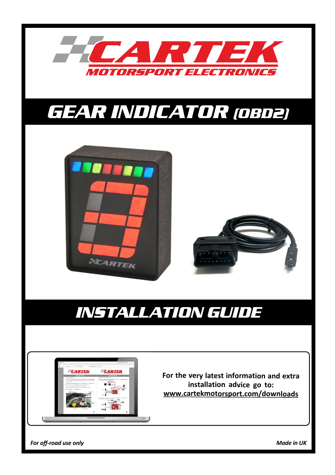

# *GEAR INDICATOR (OBD2)*





# *INSTALLATION GUIDE*



**For the very latest information and extra installation advice go to: www.cartekmotorsport.com/downloads**

*For off-road use only Made in UK*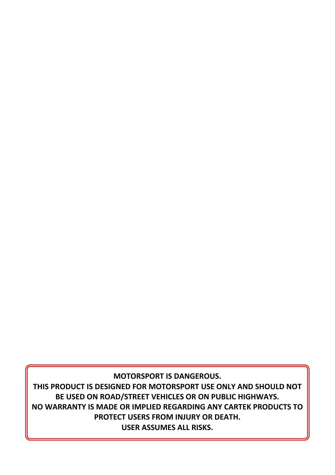**MOTORSPORT IS DANGEROUS.**

**THIS PRODUCT IS DESIGNED FOR MOTORSPORT USE ONLY AND SHOULD NOT BE USED ON ROAD/STREET VEHICLES OR ON PUBLIC HIGHWAYS. NO WARRANTY IS MADE OR IMPLIED REGARDING ANY CARTEK PRODUCTS TO PROTECT USERS FROM INJURY OR DEATH. USER ASSUMES ALL RISKS.**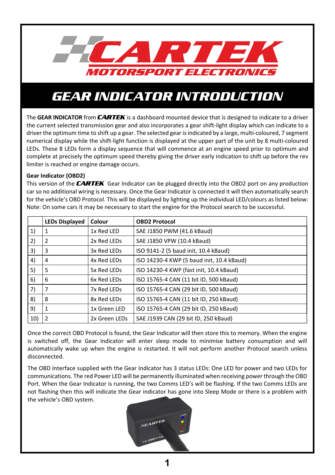

### *GEAR INDICATOR INTRODUCTION*

The **GEAR INDICATOR** from *CARTEK* is a dashboard mounted device that is designed to indicate to a driver the current selected transmission gear and also incorporates a gear shift-light display which can indicate to a driver the optimum time to shift up a gear. The selected gear is indicated by a large, multi-coloured, 7 segment numerical display while the shift-light function is displayed at the upper part of the unit by 8 multi-coloured LEDs. These 8 LEDs form a display sequence that will commence at an engine speed prior to optimum and complete at precisely the optimum speed thereby giving the driver early indication to shift up before the rev limiter is reached or engine damage occurs.

### **Gear Indicator (OBD2)**

This version of the *CARTEK* Gear Indicator can be plugged directly into the OBD2 port on any production car so no additional wiring is necessary. Once the Gear Indicator is connected it will then automatically search for the vehicle's OBD Protocol. This will be displayed by lighting up the individual LED/colours as listed below: Note: On some cars it may be necessary to start the engine for the Protocol search to be successful.

|     | <b>LEDs Displayed</b> | Colour        | <b>OBD2 Protocol</b>                      |
|-----|-----------------------|---------------|-------------------------------------------|
| 1)  |                       | 1x Red LED    | SAE J1850 PWM (41.6 kBaud)                |
| 2)  | 2                     | 2x Red LEDs   | SAE J1850 VPW (10.4 kBaud)                |
| 3)  | 3                     | 3x Red LEDs   | ISO 9141-2 (5 baud init, 10.4 kBaud)      |
| 4)  | 4                     | 4x Red LEDs   | ISO 14230-4 KWP (5 baud init, 10.4 kBaud) |
| 5)  | 5                     | 5x Red LEDs   | ISO 14230-4 KWP (fast init, 10.4 kBaud)   |
| 6)  | 6                     | 6x Red LEDs   | ISO 15765-4 CAN (11 bit ID, 500 kBaud)    |
| 7)  | 7                     | 7x Red LEDs   | ISO 15765-4 CAN (29 bit ID, 500 kBaud)    |
| 8)  | 8                     | 8x Red LEDs   | ISO 15765-4 CAN (11 bit ID, 250 kBaud)    |
| 9)  |                       | 1x Green LED  | ISO 15765-4 CAN (29 bit ID, 250 kBaud)    |
| 10) | 2                     | 2x Green LEDs | SAE J1939 CAN (29 bit ID, 250 kBaud)      |

Once the correct OBD Protocol is found, the Gear Indicator will then store this to memory. When the engine is switched off, the Gear Indicator will enter sleep mode to minimise battery consumption and will automatically wake up when the engine is restarted. It will not perform another Protocol search unless disconnected.

The OBD Interface supplied with the Gear Indicator has 3 status LEDs: One LED for power and two LEDs for communications. The red Power LED will be permanently illuminated when receiving power through the OBD Port. When the Gear Indicator is running, the two Comms LED's will be flashing. If the two Comms LEDs are not flashing then this will indicate the Gear indicator has gone into Sleep Mode or there is a problem with the vehicle's OBD system.

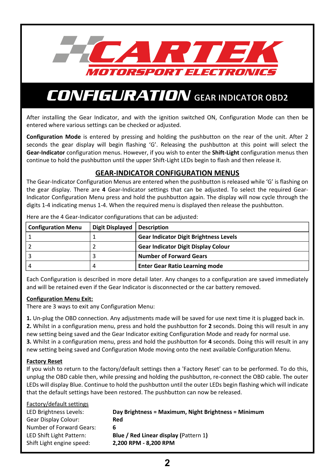

After installing the Gear Indicator, and with the ignition switched ON, Configuration Mode can then be entered where various settings can be checked or adjusted.

**Configuration Mode** is entered by pressing and holding the pushbutton on the rear of the unit. After 2 seconds the gear display will begin flashing 'G'. Releasing the pushbutton at this point will select the **Gear-Indicator** configuration menus. However, if you wish to enter the **Shift-Light** configuration menus then continue to hold the pushbutton until the upper Shift-Light LEDs begin to flash and then release it.

### **GEAR-INDICATOR CONFIGURATION MENUS**

The Gear-Indicator Configuration Menus are entered when the pushbutton is released while 'G' is flashing on the gear display. There are **4** Gear-Indicator settings that can be adjusted. To select the required Gear-Indicator Configuration Menu press and hold the pushbutton again. The display will now cycle through the digits 1-4 indicating menus 1-4. When the required menu is displayed then release the pushbutton.

| <b>Configuration Menu</b> | Digit Displayed   Description |                                               |
|---------------------------|-------------------------------|-----------------------------------------------|
|                           |                               | <b>Gear Indicator Digit Brightness Levels</b> |
|                           |                               | <b>Gear Indicator Digit Display Colour</b>    |
|                           |                               | <b>Number of Forward Gears</b>                |
|                           |                               | <b>Enter Gear Ratio Learning mode</b>         |

Here are the 4 Gear-Indicator configurations that can be adjusted:

Each Configuration is described in more detail later. Any changes to a configuration are saved immediately and will be retained even if the Gear Indicator is disconnected or the car battery removed.

#### **Configuration Menu Exit:**

There are 3 ways to exit any Configuration Menu:

**1.** Un-plug the OBD connection. Any adjustments made will be saved for use next time it is plugged back in. **2.** Whilst in a configuration menu, press and hold the pushbutton for **2** seconds. Doing this will result in any new setting being saved and the Gear Indicator exiting Configuration Mode and ready for normal use. **3.** Whilst in a configuration menu, press and hold the pushbutton for **4** seconds. Doing this will result in any new setting being saved and Configuration Mode moving onto the next available Configuration Menu.

### **Factory Reset**

If you wish to return to the factory/default settings then a 'Factory Reset' can to be performed. To do this, unplug the OBD cable then, while pressing and holding the pushbutton, re-connect the OBD cable. The outer LEDs will display Blue. Continue to hold the pushbutton until the outer LEDs begin flashing which will indicate that the default settings have been restored. The pushbutton can now be released.

| Factory/default settings  |                                                      |
|---------------------------|------------------------------------------------------|
| LED Brightness Levels:    | Day Brightness = Maximum, Night Brightness = Minimum |
| Gear Display Colour:      | Red                                                  |
| Number of Forward Gears:  |                                                      |
| LED Shift Light Pattern:  | <b>Blue / Red Linear display (Pattern 1)</b>         |
| Shift Light engine speed: | 2,200 RPM - 8,200 RPM                                |
|                           |                                                      |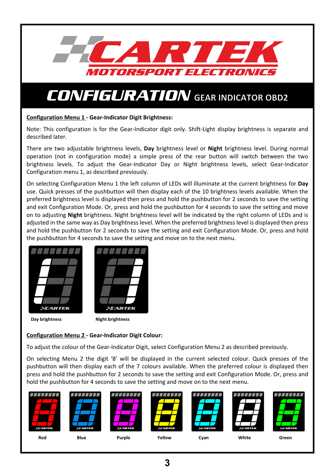

### **Configuration Menu 1 - Gear-Indicator Digit Brightness:**

Note: This configuration is for the Gear-Indicator digit only. Shift-Light display brightness is separate and described later.

There are two adjustable brightness levels, **Day** brightness level or **Night** brightness level. During normal operation (not in configuration mode) a simple press of the rear button will switch between the two brightness levels. To adjust the Gear-Indicator Day or Night brightness levels, select Gear-Indicator Configuration menu 1, as described previously.

On selecting Configuration Menu 1 the left column of LEDs will illuminate at the current brightness for **Day** use. Quick presses of the pushbutton will then display each of the 10 brightness levels available. When the preferred brightness level is displayed then press and hold the pushbutton for 2 seconds to save the setting and exit Configuration Mode. Or, press and hold the pushbutton for 4 seconds to save the setting and move on to adjusting **Night** brightness. Night brightness level will be indicated by the right column of LEDs and is adjusted in the same way as Day brightness level. When the preferred brightness level is displayed then press and hold the pushbutton for 2 seconds to save the setting and exit Configuration Mode. Or, press and hold the pushbutton for 4 seconds to save the setting and move on to the next menu.





**Day brightness** Night brightness

### **Configuration Menu 2 - Gear-Indicator Digit Colour:**

To adjust the colour of the Gear-Indicator Digit, select Configuration Menu 2 as described previously.

On selecting Menu 2 the digit '8' will be displayed in the current selected colour. Quick presses of the pushbutton will then display each of the 7 colours available. When the preferred colour is displayed then press and hold the pushbutton for 2 seconds to save the setting and exit Configuration Mode. Or, press and hold the pushbutton for 4 seconds to save the setting and move on to the next menu.

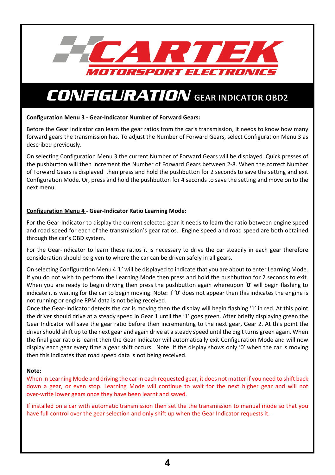

### **Configuration Menu 3 - Gear-Indicator Number of Forward Gears:**

Before the Gear Indicator can learn the gear ratios from the car's transmission, it needs to know how many forward gears the transmission has. To adjust the Number of Forward Gears, select Configuration Menu 3 as described previously.

On selecting Configuration Menu 3 the current Number of Forward Gears will be displayed. Quick presses of the pushbutton will then increment the Number of Forward Gears between 2-8. When the correct Number of Forward Gears is displayed then press and hold the pushbutton for 2 seconds to save the setting and exit Configuration Mode. Or, press and hold the pushbutton for 4 seconds to save the setting and move on to the next menu.

### **Configuration Menu 4 - Gear-Indicator Ratio Learning Mode:**

For the Gear-Indicator to display the current selected gear it needs to learn the ratio between engine speed and road speed for each of the transmission's gear ratios. Engine speed and road speed are both obtained through the car's OBD system.

For the Gear-Indicator to learn these ratios it is necessary to drive the car steadily in each gear therefore consideration should be given to where the car can be driven safely in all gears.

On selecting Configuration Menu 4 '**L**' will be displayed to indicate that you are about to enter Learning Mode. If you do not wish to perform the Learning Mode then press and hold the pushbutton for 2 seconds to exit. When you are ready to begin driving then press the pushbutton again whereupon '**0**' will begin flashing to indicate it is waiting for the car to begin moving. Note: If '0' does not appear then this indicates the engine is not running or engine RPM data is not being received.

Once the Gear-Indicator detects the car is moving then the display will begin flashing '1' in red. At this point the driver should drive at a steady speed in Gear 1 until the '1' goes green. After briefly displaying green the Gear Indicator will save the gear ratio before then incrementing to the next gear, Gear 2. At this point the driver should shift up to the next gear and again drive at a steady speed until the digit turns green again. When the final gear ratio is learnt then the Gear Indicator will automatically exit Configuration Mode and will now display each gear every time a gear shift occurs. Note: If the display shows only '0' when the car is moving then this indicates that road speed data is not being received.

#### **Note:**

When in Learning Mode and driving the car in each requested gear, it does not matter if you need to shift back down a gear, or even stop. Learning Mode will continue to wait for the next higher gear and will not over-write lower gears once they have been learnt and saved.

If installed on a car with automatic transmission then set the the transmission to manual mode so that you have full control over the gear selection and only shift up when the Gear Indicator requests it.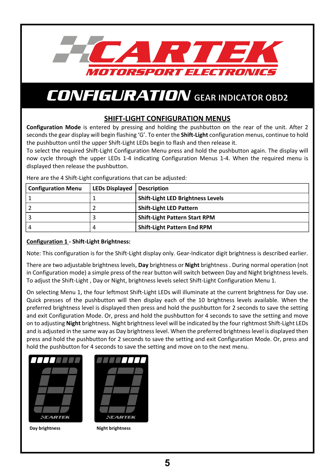

### **SHIFT-LIGHT CONFIGURATION MENUS**

**Configuration Mode** is entered by pressing and holding the pushbutton on the rear of the unit. After 2 seconds the gear display will begin flashing 'G'. To enter the **Shift-Light** configuration menus, continue to hold the pushbutton until the upper Shift-Light LEDs begin to flash and then release it.

To select the required Shift-Light Configuration Menu press and hold the pushbutton again. The display will now cycle through the upper LEDs 1-4 indicating Configuration Menus 1-4. When the required menu is displayed then release the pushbutton.

Here are the 4 Shift-Light configurations that can be adjusted:

| <b>Configuration Menu</b> | LEDs Displayed   Description |                                          |
|---------------------------|------------------------------|------------------------------------------|
|                           |                              | <b>Shift-Light LED Brightness Levels</b> |
|                           |                              | <b>Shift-Light LED Pattern</b>           |
|                           |                              | <b>Shift-Light Pattern Start RPM</b>     |
|                           |                              | <b>Shift-Light Pattern End RPM</b>       |

### **Configuration 1 - Shift-Light Brightness:**

Note: This configuration is for the Shift-Light display only. Gear-Indicator digit brightness is described earlier.

There are two adjustable brightness levels, **Day** brightness or **Night** brightness . During normal operation (not in Configuration mode) a simple press of the rear button will switch between Day and Night brightness levels. To adjust the Shift-Light , Day or Night, brightness levels select Shift-Light Configuration Menu 1.

On selecting Menu 1, the four leftmost Shift-Light LEDs will illuminate at the current brightness for Day use. Quick presses of the pushbutton will then display each of the 10 brightness levels available. When the preferred brightness level is displayed then press and hold the pushbutton for 2 seconds to save the setting and exit Configuration Mode. Or, press and hold the pushbutton for 4 seconds to save the setting and move on to adjusting **Night** brightness. Night brightness level will be indicated by the four rightmost Shift-Light LEDs and is adjusted in the same way as Day brightness level. When the preferred brightness level is displayed then press and hold the pushbutton for 2 seconds to save the setting and exit Configuration Mode. Or, press and hold the pushbutton for 4 seconds to save the setting and move on to the next menu.





**Day brightness** Night brightness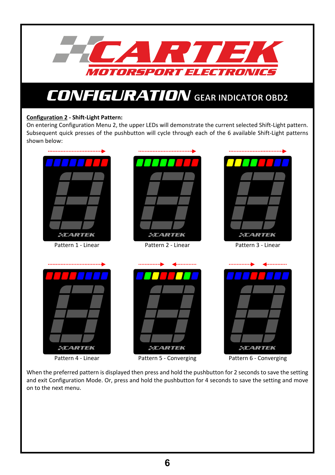

### **Configuration 2 - Shift-Light Pattern:**

On entering Configuration Menu 2, the upper LEDs will demonstrate the current selected Shift-Light pattern. Subsequent quick presses of the pushbutton will cycle through each of the 6 available Shift-Light patterns shown below:



Pattern 4 - Linear



Pattern 6 - Converging

When the preferred pattern is displayed then press and hold the pushbutton for 2 seconds to save the setting and exit Configuration Mode. Or, press and hold the pushbutton for 4 seconds to save the setting and move on to the next menu.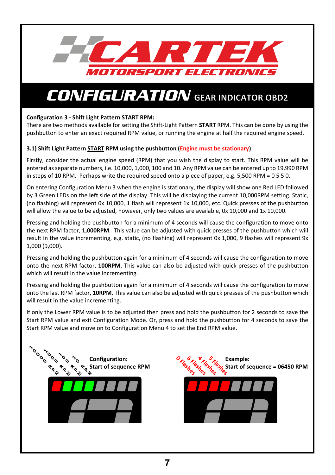

### **Configuration 3 - Shift Light Pattern START RPM:**

There are two methods available for setting the Shift-Light Pattern **START** RPM. This can be done by using the pushbutton to enter an exact required RPM value, or running the engine at half the required engine speed.

### **3.1) Shift Light Pattern START RPM using the pushbutton (Engine must be stationary)**

Firstly, consider the actual engine speed (RPM) that you wish the display to start. This RPM value will be entered as separate numbers, i.e. 10,000, 1,000, 100 and 10. Any RPM value can be entered up to 19,990 RPM in steps of 10 RPM. Perhaps write the required speed onto a piece of paper, e.g. 5,500 RPM = 0 5 5 0.

On entering Configuration Menu 3 when the engine is stationary, the display will show one Red LED followed by 3 Green LEDs on the **left** side of the display. This will be displaying the current 10,000RPM setting. Static, (no flashing) will represent 0x 10,000, 1 flash will represent 1x 10,000, etc. Quick presses of the pushbutton will allow the value to be adjusted, however, only two values are available, 0x 10,000 and 1x 10,000.

Pressing and holding the pushbutton for a minimum of 4 seconds will cause the configuration to move onto the next RPM factor, **1,000RPM**. This value can be adjusted with quick presses of the pushbutton which will result in the value incrementing, e.g. static, (no flashing) will represent 0x 1,000, 9 flashes will represent 9x 1,000 (9,000).

Pressing and holding the pushbutton again for a minimum of 4 seconds will cause the configuration to move onto the next RPM factor, **100RPM**. This value can also be adjusted with quick presses of the pushbutton which will result in the value incrementing.

Pressing and holding the pushbutton again for a minimum of 4 seconds will cause the configuration to move onto the last RPM factor, **10RPM**. This value can also be adjusted with quick presses of the pushbutton which will result in the value incrementing.

If only the Lower RPM value is to be adjusted then press and hold the pushbutton for 2 seconds to save the Start RPM value and exit Configuration Mode. Or, press and hold the pushbutton for 4 seconds to save the Start RPM value and move on to Configuration Menu 4 to set the End RPM value.



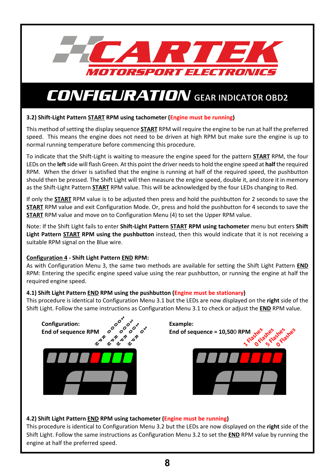

### **3.2) Shift-Light Pattern START RPM using tachometer (Engine must be running)**

This method of setting the display sequence **START** RPM will require the engine to be run at half the preferred speed. This means the engine does not need to be driven at high RPM but make sure the engine is up to normal running temperature before commencing this procedure.

To indicate that the Shift-Light is waiting to measure the engine speed for the pattern **START** RPM, the four LEDs on the **left** side will flash Green. At this point the driver needs to hold the engine speed at **half** the required RPM. When the driver is satisfied that the engine is running at half of the required speed, the pushbutton should then be pressed. The Shift Light will then measure the engine speed, double it, and store it in memory as the Shift-Light Pattern **START** RPM value. This will be acknowledged by the four LEDs changing to Red.

If only the **START** RPM value is to be adjusted then press and hold the pushbutton for 2 seconds to save the **START** RPM value and exit Configuration Mode. Or, press and hold the pushbutton for 4 seconds to save the **START** RPM value and move on to Configuration Menu (4) to set the Upper RPM value.

Note: If the Shift Light fails to enter **Shift-Light Pattern START RPM using tachometer** menu but enters **Shift Light Pattern START RPM using the pushbutton** instead, then this would indicate that it is not receiving a suitable RPM signal on the Blue wire.

### **Configuration 4 - Shift Light Pattern END RPM:**

As with Configuration Menu 3, the same two methods are available for setting the Shift Light Pattern **END** RPM: Entering the specific engine speed value using the rear pushbutton, or running the engine at half the required engine speed.

### **4.1) Shift Light Pattern END RPM using the pushbutton (Engine must be stationary)**

This procedure is identical to Configuration Menu 3.1 but the LEDs are now displayed on the **right** side of the Shift Light. Follow the same instructions as Configuration Menu 3.1 to check or adjust the **END** RPM value.



### **4.2) Shift Light Pattern END RPM using tachometer (Engine must be running)**

This procedure is identical to Configuration Menu 3.2 but the LEDs are now displayed on the **right** side of the Shift Light. Follow the same instructions as Configuration Menu 3.2 to set the **END** RPM value by running the engine at half the preferred speed.